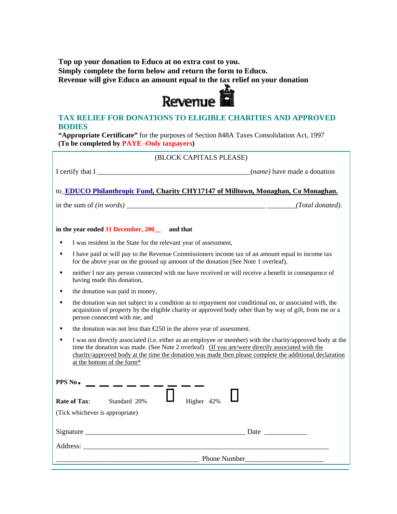**Top up your donation to Educo at no extra cost to you. Simply complete the form below and return the form to Educo.**  Revenue will give Educo an amount equal to the tax relief on your donation<br> **REVENUE** 



## **TAX RELIEF FOR DONATIONS TO ELIGIBLE CHARITIES AND APPROVED BODIES**

**"Appropriate Certificate"** for the purposes of Section 848A Taxes Consolidation Act, 1997 **(To be completed by PAYE -Only taxpayers)** 

| (BLOCK CAPITALS PLEASE)                                                                                                                                                                                                                                                                                                                                |  |
|--------------------------------------------------------------------------------------------------------------------------------------------------------------------------------------------------------------------------------------------------------------------------------------------------------------------------------------------------------|--|
| I certify that I <i>(name)</i> have made a donation                                                                                                                                                                                                                                                                                                    |  |
| to_EDUCO Philanthropic Fund, Charity CHY17147 of Milltown, Monaghan, Co Monaghan.                                                                                                                                                                                                                                                                      |  |
|                                                                                                                                                                                                                                                                                                                                                        |  |
| in the year ended 31 December, 200_ and that                                                                                                                                                                                                                                                                                                           |  |
| I was resident in the State for the relevant year of assessment,                                                                                                                                                                                                                                                                                       |  |
| I have paid or will pay to the Revenue Commissioners income tax of an amount equal to income tax<br>for the above year on the grossed up amount of the donation (See Note 1 overleaf),                                                                                                                                                                 |  |
| neither I nor any person connected with me have received or will receive a benefit in consequence of<br>٠<br>having made this donation,                                                                                                                                                                                                                |  |
| the donation was paid in money,                                                                                                                                                                                                                                                                                                                        |  |
| the donation was not subject to a condition as to repayment nor conditional on, or associated with, the<br>$\blacksquare$<br>acquisition of property by the eligible charity or approved body other than by way of gift, from me or a<br>person connected with me, and                                                                                 |  |
| the donation was not less than $E$ 50 in the above year of assessment.                                                                                                                                                                                                                                                                                 |  |
| I was not directly associated (i.e. either as an employee or member) with the charity/approved body at the<br>time the donation was made. (See Note 2 overleaf) (If you are/were directly associated with the<br>charity/approved body at the time the donation was made then please complete the additional declaration<br>at the bottom of the form* |  |
| PPS No.                                                                                                                                                                                                                                                                                                                                                |  |
| Higher 42%<br>Rate of Tax:<br>Standard 20%                                                                                                                                                                                                                                                                                                             |  |
| (Tick whichever is appropriate)                                                                                                                                                                                                                                                                                                                        |  |
|                                                                                                                                                                                                                                                                                                                                                        |  |
|                                                                                                                                                                                                                                                                                                                                                        |  |
| <b>Phone Number</b>                                                                                                                                                                                                                                                                                                                                    |  |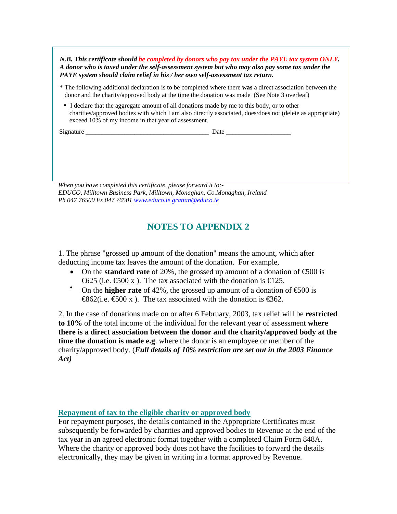*N.B. This certificate should be completed by donors who pay tax under the PAYE tax system ONLY. A donor who is taxed under the self-assessment system but who may also pay some tax under the PAYE system should claim relief in his / her own self-assessment tax return.*

- \* The following additional declaration is to be completed where there **was** a direct association between the donor and the charity/approved body at the time the donation was made (See Note 3 overleaf)
- I declare that the aggregate amount of all donations made by me to this body, or to other charities/approved bodies with which I am also directly associated, does/does not (delete as appropriate) exceed 10% of my income in that year of assessment.

Signature **Date**  $\overline{a}$ 

*When you have completed this certificate, please forward it to:- EDUCO, Milltown Business Park, Milltown, Monaghan, Co.Monaghan, Ireland Ph 047 76500 Fx 047 76501 www.educo.ie grattan@educo.ie*

## **NOTES TO APPENDIX 2**

1. The phrase "grossed up amount of the donation" means the amount, which after deducting income tax leaves the amount of the donation. For example,

- On the **standard rate** of 20%, the grossed up amount of a donation of  $\epsilon$ 500 is  $€625$  (i.e. €500 x). The tax associated with the donation is €125.
- On the **higher rate** of 42%, the grossed up amount of a donation of  $\epsilon$ 500 is  $\bigoplus 62$ (i.e.  $\bigoplus 00 \times$ ). The tax associated with the donation is  $\bigoplus 62$ .

2. In the case of donations made on or after 6 February, 2003, tax relief will be **restricted to 10%** of the total income of the individual for the relevant year of assessment **where there is a direct association between the donor and the charity/approved body at the time the donation is made e.g**. where the donor is an employee or member of the charity/approved body. (*Full details of 10% restriction are set out in the 2003 Finance Act)* 

## **Repayment of tax to the eligible charity or approved body**

For repayment purposes, the details contained in the Appropriate Certificates must subsequently be forwarded by charities and approved bodies to Revenue at the end of the tax year in an agreed electronic format together with a completed Claim Form 848A. Where the charity or approved body does not have the facilities to forward the details electronically, they may be given in writing in a format approved by Revenue.